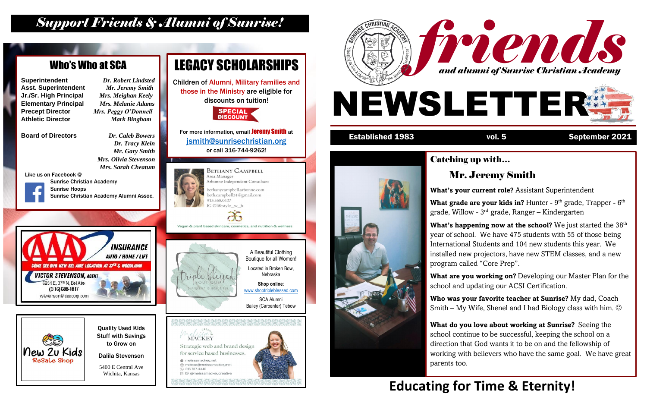

#### Established 1983 vol. 5 September 2021



#### Catching up with… Mr. Jeremy Smith

**What grade are your kids in?** Hunter - 9<sup>th</sup> grade, Trapper - 6<sup>th</sup> grade, Willow - 3<sup>rd</sup> grade, Ranger – Kindergarten

**What's your current role?** Assistant Superintendent

**What's happening now at the school?** We just started the 38<sup>th</sup> year of school. We have 475 students with 55 of those being International Students and 104 new students this year. We installed new projectors, have new STEM classes, and a new program called "Core Prep".

**Who was your favorite teacher at Sunrise?** My dad, Coach Smith – My Wife, Shenel and I had Biology class with him.  $\odot$ 

**What are you working on?** Developing our Master Plan for the school and updating our ACSI Certification.

**What do you love about working at Sunrise?** Seeing the school continue to be successful, keeping the school on a direction that God wants it to be on and the fellowship of working with believers who have the same goal. We have great parents too.



### *Support Friends & Alumni of Sunrise!*

## **Educating for Time & Eternity!**